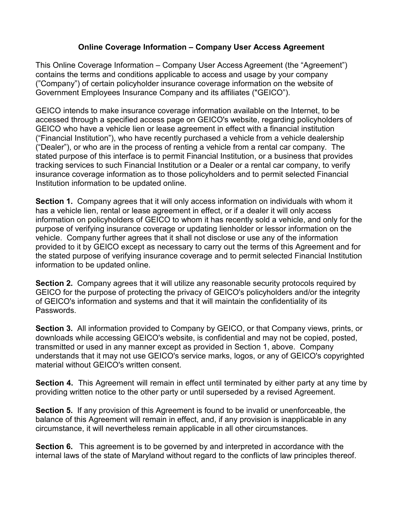## **Online Coverage Information – Company User Access Agreement**

This Online Coverage Information – Company User Access Agreement (the "Agreement") contains the terms and conditions applicable to access and usage by your company ("Company") of certain policyholder insurance coverage information on the website of Government Employees Insurance Company and its affiliates ("GEICO").

GEICO intends to make insurance coverage information available on the Internet, to be accessed through a specified access page on GEICO's website, regarding policyholders of GEICO who have a vehicle lien or lease agreement in effect with a financial institution ("Financial Institution"), who have recently purchased a vehicle from a vehicle dealership ("Dealer"), or who are in the process of renting a vehicle from a rental car company. The stated purpose of this interface is to permit Financial Institution, or a business that provides tracking services to such Financial Institution or a Dealer or a rental car company, to verify insurance coverage information as to those policyholders and to permit selected Financial Institution information to be updated online.

**Section 1.** Company agrees that it will only access information on individuals with whom it has a vehicle lien, rental or lease agreement in effect, or if a dealer it will only access information on policyholders of GEICO to whom it has recently sold a vehicle, and only for the purpose of verifying insurance coverage or updating lienholder or lessor information on the vehicle. Company further agrees that it shall not disclose or use any of the information provided to it by GEICO except as necessary to carry out the terms of this Agreement and for the stated purpose of verifying insurance coverage and to permit selected Financial Institution information to be updated online.

**Section 2.** Company agrees that it will utilize any reasonable security protocols required by GEICO for the purpose of protecting the privacy of GEICO's policyholders and/or the integrity of GEICO's information and systems and that it will maintain the confidentiality of its Passwords.

**Section 3.** All information provided to Company by GEICO, or that Company views, prints, or downloads while accessing GEICO's website, is confidential and may not be copied, posted, transmitted or used in any manner except as provided in Section 1, above. Company understands that it may not use GEICO's service marks, logos, or any of GEICO's copyrighted material without GEICO's written consent.

**Section 4.** This Agreement will remain in effect until terminated by either party at any time by providing written notice to the other party or until superseded by a revised Agreement.

**Section 5.** If any provision of this Agreement is found to be invalid or unenforceable, the balance of this Agreement will remain in effect, and, if any provision is inapplicable in any circumstance, it will nevertheless remain applicable in all other circumstances.

**Section 6.** This agreement is to be governed by and interpreted in accordance with the internal laws of the state of Maryland without regard to the conflicts of law principles thereof.